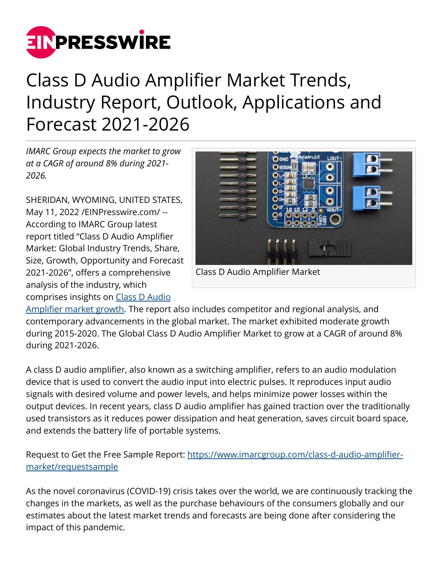

## Class D Audio Amplifier Market Trends, Industry Report, Outlook, Applications and Forecast 2021-2026

*IMARC Group expects the market to grow at a CAGR of around 8% during 2021- 2026.*

SHERIDAN, WYOMING, UNITED STATES, May 11, 2022 [/EINPresswire.com](http://www.einpresswire.com)/ -- According to IMARC Group latest report titled "Class D Audio Amplifier Market: Global Industry Trends, Share, Size, Growth, Opportunity and Forecast 2021-2026", offers a comprehensive analysis of the industry, which comprises insights on [Class D Audio](https://www.imarcgroup.com/class-d-audio-amplifier-market)



Class D Audio Amplifier Market

[Amplifier market growth.](https://www.imarcgroup.com/class-d-audio-amplifier-market) The report also includes competitor and regional analysis, and contemporary advancements in the global market. The market exhibited moderate growth during 2015-2020. The Global Class D Audio Amplifier Market to grow at a CAGR of around 8% during 2021-2026.

A class D audio amplifier, also known as a switching amplifier, refers to an audio modulation device that is used to convert the audio input into electric pulses. It reproduces input audio signals with desired volume and power levels, and helps minimize power losses within the output devices. In recent years, class D audio amplifier has gained traction over the traditionally used transistors as it reduces power dissipation and heat generation, saves circuit board space, and extends the battery life of portable systems.

Request to Get the Free Sample Report: [https://www.imarcgroup.com/class-d-audio-amplifier](https://www.imarcgroup.com/class-d-audio-amplifier-market/requestsample)[market/requestsample](https://www.imarcgroup.com/class-d-audio-amplifier-market/requestsample)

As the novel coronavirus (COVID-19) crisis takes over the world, we are continuously tracking the changes in the markets, as well as the purchase behaviours of the consumers globally and our estimates about the latest market trends and forecasts are being done after considering the impact of this pandemic.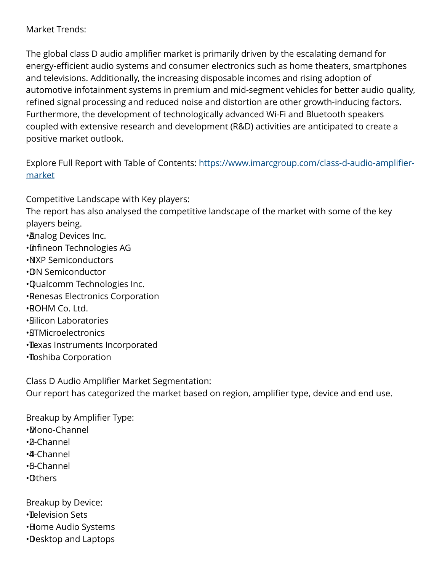## Market Trends:

The global class D audio amplifier market is primarily driven by the escalating demand for energy-efficient audio systems and consumer electronics such as home theaters, smartphones and televisions. Additionally, the increasing disposable incomes and rising adoption of automotive infotainment systems in premium and mid-segment vehicles for better audio quality, refined signal processing and reduced noise and distortion are other growth-inducing factors. Furthermore, the development of technologically advanced Wi-Fi and Bluetooth speakers coupled with extensive research and development (R&D) activities are anticipated to create a positive market outlook.

Explore Full Report with Table of Contents: [https://www.imarcgroup.com/class-d-audio-amplifier](https://www.imarcgroup.com/class-d-audio-amplifier-market)[market](https://www.imarcgroup.com/class-d-audio-amplifier-market)

Competitive Landscape with Key players:

The report has also analysed the competitive landscape of the market with some of the key players being.

- • Analog Devices Inc.
- • Infineon Technologies AG
- • NXP Semiconductors
- • ON Semiconductor
- • Qualcomm Technologies Inc.
- • Renesas Electronics Corporation
- • ROHM Co. Ltd.
- • Silicon Laboratories
- • STMicroelectronics
- • Texas Instruments Incorporated
- • Toshiba Corporation

Class D Audio Amplifier Market Segmentation:

Our report has categorized the market based on region, amplifier type, device and end use.

Breakup by Amplifier Type: • Mono-Channel • 2-Channel • 4-Channel • 6-Channel • Others Breakup by Device:

- • Television Sets
- Home Audio Systems
- • Desktop and Laptops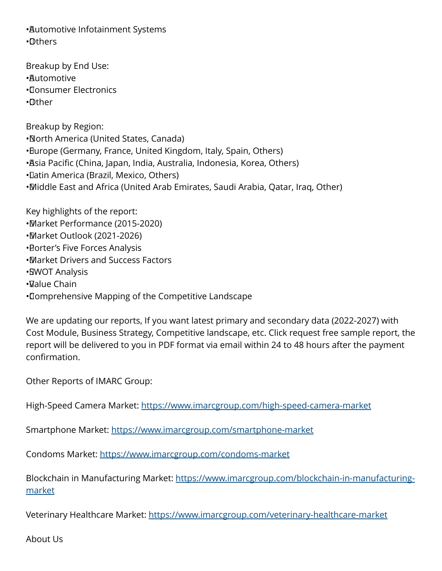• Automotive Infotainment Systems • Others

Breakup by End Use: • Automotive • Consumer Electronics • Other

Breakup by Region: • North America (United States, Canada) • Europe (Germany, France, United Kingdom, Italy, Spain, Others) • Asia Pacific (China, Japan, India, Australia, Indonesia, Korea, Others) • Latin America (Brazil, Mexico, Others) • Middle East and Africa (United Arab Emirates, Saudi Arabia, Qatar, Iraq, Other)

Key highlights of the report: • Market Performance (2015-2020) • Market Outlook (2021-2026) **• Borter's Five Forces Analysis** • Market Drivers and Success Factors • SWOT Analysis • Value Chain • Comprehensive Mapping of the Competitive Landscape

We are updating our reports, If you want latest primary and secondary data (2022-2027) with Cost Module, Business Strategy, Competitive landscape, etc. Click request free sample report, the report will be delivered to you in PDF format via email within 24 to 48 hours after the payment confirmation.

Other Reports of IMARC Group:

High-Speed Camera Market: <https://www.imarcgroup.com/high-speed-camera-market>

Smartphone Market:<https://www.imarcgroup.com/smartphone-market>

Condoms Market:<https://www.imarcgroup.com/condoms-market>

Blockchain in Manufacturing Market: [https://www.imarcgroup.com/blockchain-in-manufacturing](https://www.imarcgroup.com/blockchain-in-manufacturing-market)[market](https://www.imarcgroup.com/blockchain-in-manufacturing-market)

Veterinary Healthcare Market:<https://www.imarcgroup.com/veterinary-healthcare-market>

About Us